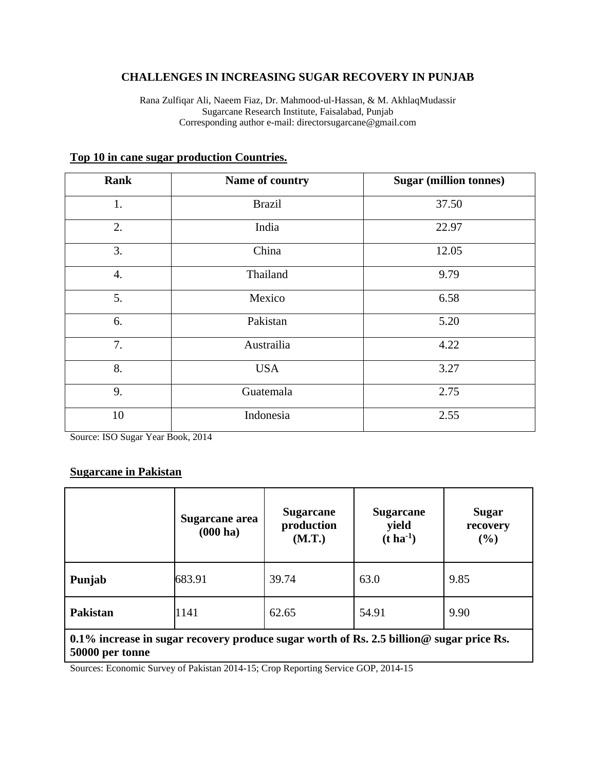## **CHALLENGES IN INCREASING SUGAR RECOVERY IN PUNJAB**

Rana Zulfiqar Ali, Naeem Fiaz, Dr. Mahmood-ul-Hassan, & M. AkhlaqMudassir Sugarcane Research Institute, Faisalabad, Punjab Corresponding author e-mail: directorsugarcane@gmail.com

| <b>Rank</b> | Name of country | <b>Sugar (million tonnes)</b> |
|-------------|-----------------|-------------------------------|
| 1.          | <b>Brazil</b>   | 37.50                         |
| 2.          | India           | 22.97                         |
| 3.          | China           | 12.05                         |
| 4.          | Thailand        | 9.79                          |
| 5.          | Mexico          | 6.58                          |
| 6.          | Pakistan        | 5.20                          |
| 7.          | Austrailia      | 4.22                          |
| 8.          | <b>USA</b>      | 3.27                          |
| 9.          | Guatemala       | 2.75                          |
| 10          | Indonesia       | 2.55                          |

### **Top 10 in cane sugar production Countries.**

Source: ISO Sugar Year Book, 2014

### **Sugarcane in Pakistan**

|                                                                                                                    | Sugarcane area<br>$(000 \text{ ha})$ | <b>Sugarcane</b><br>production<br>(M.T.) | <b>Sugarcane</b><br>yield<br>$(t \, ha^{-1})$ | <b>Sugar</b><br>recovery<br>(%) |
|--------------------------------------------------------------------------------------------------------------------|--------------------------------------|------------------------------------------|-----------------------------------------------|---------------------------------|
| Punjab                                                                                                             | 683.91                               | 39.74                                    | 63.0                                          | 9.85                            |
| Pakistan                                                                                                           | 1141                                 | 62.65                                    | 54.91                                         | 9.90                            |
| 0.1% increase in sugar recovery produce sugar worth of Rs. 2.5 billion $\omega$ sugar price Rs.<br>50000 per tonne |                                      |                                          |                                               |                                 |

Sources: Economic Survey of Pakistan 2014-15; Crop Reporting Service GOP, 2014-15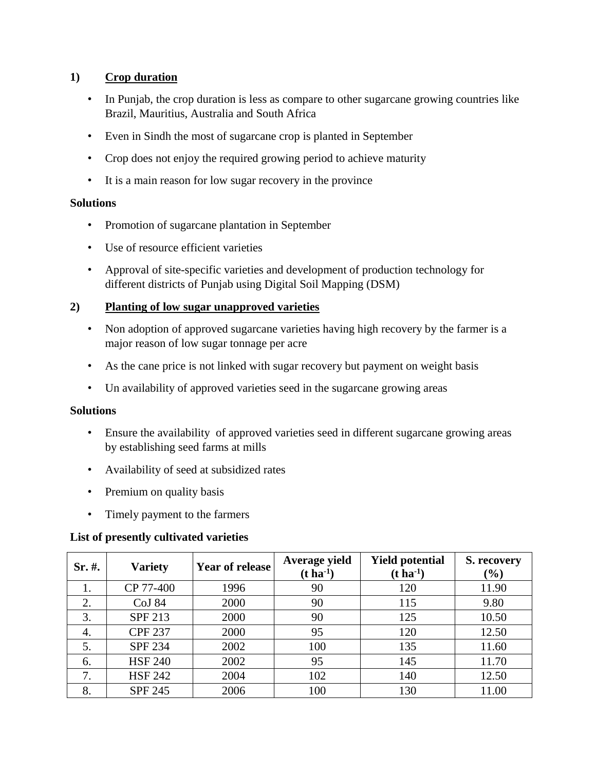## **1) Crop duration**

- In Punjab, the crop duration is less as compare to other sugarcane growing countries like Brazil, Mauritius, Australia and South Africa
- Even in Sindh the most of sugarcane crop is planted in September
- Crop does not enjoy the required growing period to achieve maturity
- It is a main reason for low sugar recovery in the province

## **Solutions**

- Promotion of sugarcane plantation in September
- Use of resource efficient varieties
- Approval of site-specific varieties and development of production technology for different districts of Punjab using Digital Soil Mapping (DSM)

## **2) Planting of low sugar unapproved varieties**

- Non adoption of approved sugarcane varieties having high recovery by the farmer is a major reason of low sugar tonnage per acre
- As the cane price is not linked with sugar recovery but payment on weight basis
- Un availability of approved varieties seed in the sugarcane growing areas

## **Solutions**

- Ensure the availability of approved varieties seed in different sugarcane growing areas by establishing seed farms at mills
- Availability of seed at subsidized rates
- Premium on quality basis
- Timely payment to the farmers

## **List of presently cultivated varieties**

| $Sr. \#$ . | <b>Variety</b> | <b>Year of release</b> | Average yield<br>$(t \, ha^{-1})$ | <b>Yield potential</b><br>$(t \, ha^{-1})$ | S. recovery<br>$(\%)$ |
|------------|----------------|------------------------|-----------------------------------|--------------------------------------------|-----------------------|
|            | CP 77-400      | 1996                   | 90                                | 120                                        | 11.90                 |
| 2.         | CoJ 84         | 2000                   | 90                                | 115                                        | 9.80                  |
| 3.         | SPF 213        | 2000                   | 90                                | 125                                        | 10.50                 |
| 4.         | <b>CPF 237</b> | 2000                   | 95                                | 120                                        | 12.50                 |
| 5.         | <b>SPF 234</b> | 2002                   | 100                               | 135                                        | 11.60                 |
| 6.         | <b>HSF 240</b> | 2002                   | 95                                | 145                                        | 11.70                 |
| 7.         | <b>HSF 242</b> | 2004                   | 102                               | 140                                        | 12.50                 |
| 8.         | <b>SPF 245</b> | 2006                   | 100                               | 130                                        | 11.00                 |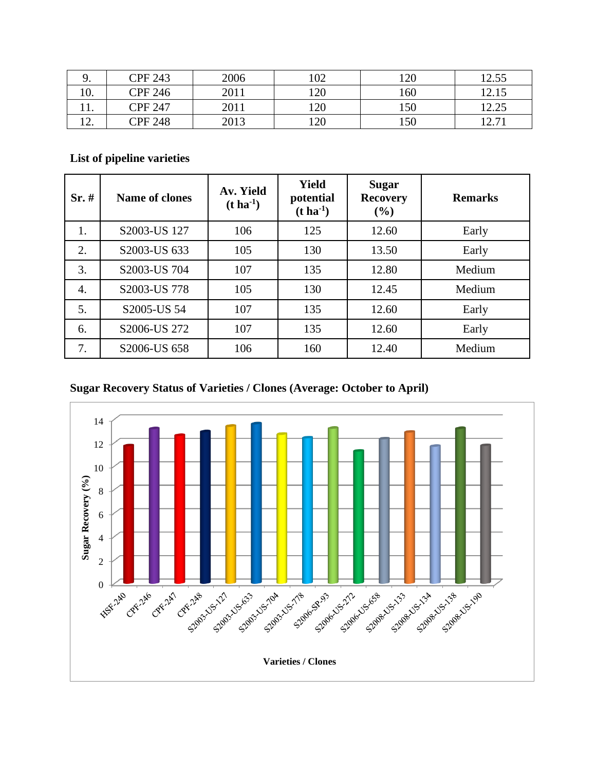| ╯.  | <b>CPF 243</b> | 2006 | 102 | 120 | 12.55   |
|-----|----------------|------|-----|-----|---------|
| 10. | <b>CPF 246</b> | 2011 | 120 | 160 | 12.15   |
| .   | CPF 247        | 2011 | 120 | 150 | 12.25   |
| ⊥∠. | <b>CPF 248</b> | 2013 | 120 | 150 | 1 2 7 1 |

# **List of pipeline varieties**

| Sr.# | <b>Name of clones</b> | Av. Yield<br>$(t \, ha^{-1})$ | <b>Yield</b><br>potential<br>$(t \, ha^{-1})$ | <b>Sugar</b><br><b>Recovery</b><br>(%) | <b>Remarks</b> |
|------|-----------------------|-------------------------------|-----------------------------------------------|----------------------------------------|----------------|
| 1.   | S2003-US 127          | 106                           | 125                                           | 12.60                                  | Early          |
| 2.   | S2003-US 633          | 105                           | 130                                           | 13.50                                  | Early          |
| 3.   | S2003-US 704          | 107                           | 135                                           | 12.80                                  | Medium         |
| 4.   | S2003-US 778          | 105                           | 130                                           | 12.45                                  | Medium         |
| 5.   | S2005-US 54           | 107                           | 135                                           | 12.60                                  | Early          |
| 6.   | S2006-US 272          | 107                           | 135                                           | 12.60                                  | Early          |
| 7.   | S2006-US 658          | 106                           | 160                                           | 12.40                                  | Medium         |

## **Sugar Recovery Status of Varieties / Clones (Average: October to April)**

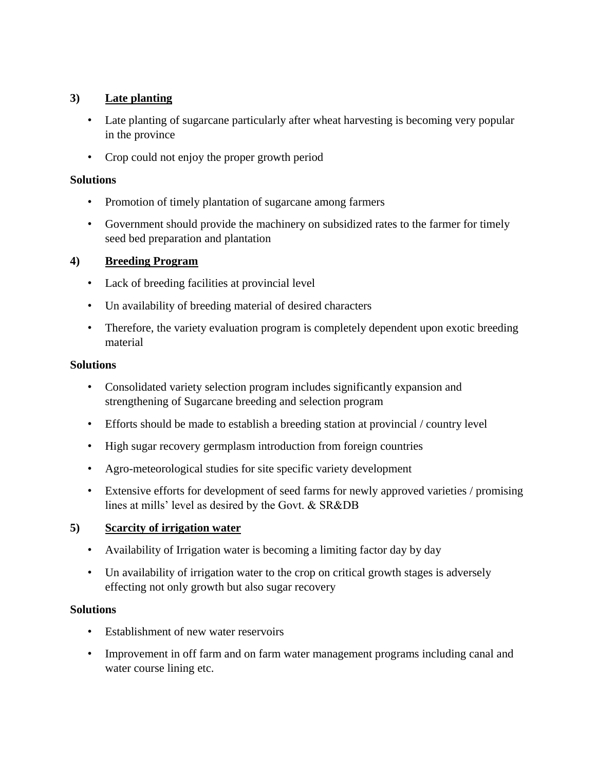## **3) Late planting**

- Late planting of sugarcane particularly after wheat harvesting is becoming very popular in the province
- Crop could not enjoy the proper growth period

## **Solutions**

- Promotion of timely plantation of sugarcane among farmers
- Government should provide the machinery on subsidized rates to the farmer for timely seed bed preparation and plantation

## **4) Breeding Program**

- Lack of breeding facilities at provincial level
- Un availability of breeding material of desired characters
- Therefore, the variety evaluation program is completely dependent upon exotic breeding material

## **Solutions**

- Consolidated variety selection program includes significantly expansion and strengthening of Sugarcane breeding and selection program
- Efforts should be made to establish a breeding station at provincial / country level
- High sugar recovery germplasm introduction from foreign countries
- Agro-meteorological studies for site specific variety development
- Extensive efforts for development of seed farms for newly approved varieties / promising lines at mills' level as desired by the Govt. & SR&DB

## **5) Scarcity of irrigation water**

- Availability of Irrigation water is becoming a limiting factor day by day
- Un availability of irrigation water to the crop on critical growth stages is adversely effecting not only growth but also sugar recovery

## **Solutions**

- Establishment of new water reservoirs
- Improvement in off farm and on farm water management programs including canal and water course lining etc.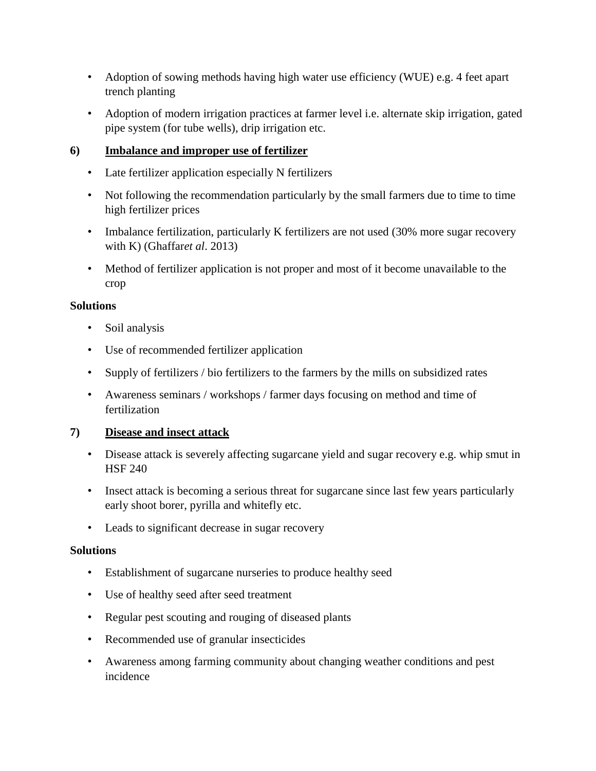- Adoption of sowing methods having high water use efficiency (WUE) e.g. 4 feet apart trench planting
- Adoption of modern irrigation practices at farmer level i.e. alternate skip irrigation, gated pipe system (for tube wells), drip irrigation etc.

## **6) Imbalance and improper use of fertilizer**

- Late fertilizer application especially N fertilizers
- Not following the recommendation particularly by the small farmers due to time to time high fertilizer prices
- Imbalance fertilization, particularly K fertilizers are not used (30% more sugar recovery with K) (Ghaffar*et al*. 2013)
- Method of fertilizer application is not proper and most of it become unavailable to the crop

## **Solutions**

- Soil analysis
- Use of recommended fertilizer application
- Supply of fertilizers / bio fertilizers to the farmers by the mills on subsidized rates
- Awareness seminars / workshops / farmer days focusing on method and time of fertilization

## **7) Disease and insect attack**

- Disease attack is severely affecting sugarcane yield and sugar recovery e.g. whip smut in HSF 240
- Insect attack is becoming a serious threat for sugarcane since last few years particularly early shoot borer, pyrilla and whitefly etc.
- Leads to significant decrease in sugar recovery

## **Solutions**

- Establishment of sugarcane nurseries to produce healthy seed
- Use of healthy seed after seed treatment
- Regular pest scouting and rouging of diseased plants
- Recommended use of granular insecticides
- Awareness among farming community about changing weather conditions and pest incidence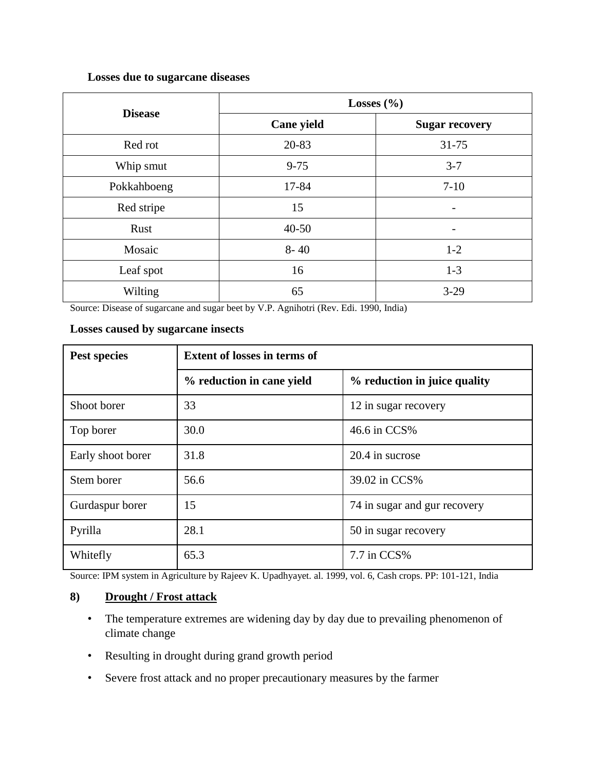## **Losses due to sugarcane diseases**

| <b>Disease</b> | Losses $(\% )$ |                       |  |  |
|----------------|----------------|-----------------------|--|--|
|                | Cane yield     | <b>Sugar recovery</b> |  |  |
| Red rot        | 20-83          | 31-75                 |  |  |
| Whip smut      | $9 - 75$       | $3 - 7$               |  |  |
| Pokkahboeng    | 17-84          | $7 - 10$              |  |  |
| Red stripe     | 15             |                       |  |  |
| Rust           | $40 - 50$      |                       |  |  |
| Mosaic         | $8 - 40$       | $1 - 2$               |  |  |
| Leaf spot      | 16             | $1-3$                 |  |  |
| Wilting        | 65             | $3-29$                |  |  |

Source: Disease of sugarcane and sugar beet by V.P. Agnihotri (Rev. Edi. 1990, India)

### **Losses caused by sugarcane insects**

| Pest species      | <b>Extent of losses in terms of</b> |                              |  |
|-------------------|-------------------------------------|------------------------------|--|
|                   | % reduction in cane yield           | % reduction in juice quality |  |
| Shoot borer       | 33                                  | 12 in sugar recovery         |  |
| Top borer         | 30.0                                | 46.6 in CCS%                 |  |
| Early shoot borer | 31.8                                | 20.4 in sucrose              |  |
| Stem borer        | 56.6                                | 39.02 in CCS%                |  |
| Gurdaspur borer   | 15                                  | 74 in sugar and gur recovery |  |
| Pyrilla           | 28.1                                | 50 in sugar recovery         |  |
| Whitefly          | 65.3                                | 7.7 in CCS%                  |  |

Source: IPM system in Agriculture by Rajeev K. Upadhyayet. al. 1999, vol. 6, Cash crops. PP: 101-121, India

## **8) Drought / Frost attack**

- The temperature extremes are widening day by day due to prevailing phenomenon of climate change
- Resulting in drought during grand growth period
- Severe frost attack and no proper precautionary measures by the farmer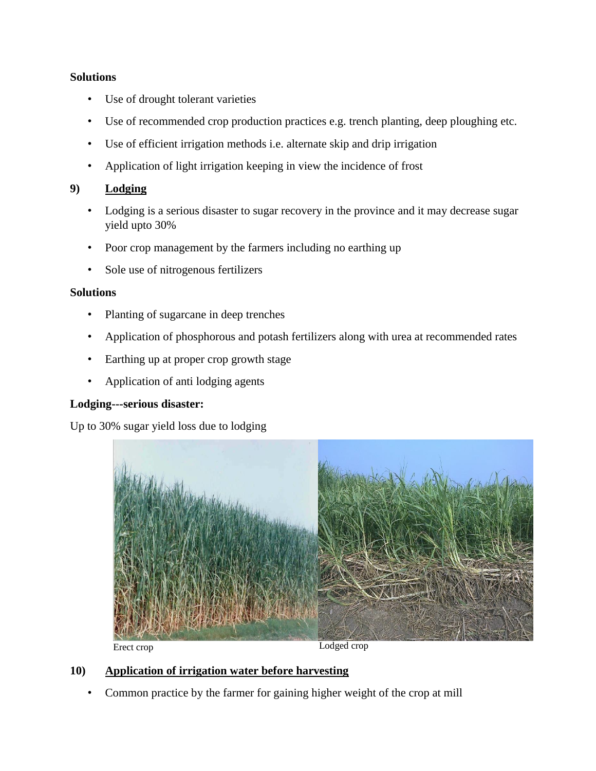### **Solutions**

- Use of drought tolerant varieties
- Use of recommended crop production practices e.g. trench planting, deep ploughing etc.
- Use of efficient irrigation methods i.e. alternate skip and drip irrigation
- Application of light irrigation keeping in view the incidence of frost

### **9) Lodging**

- Lodging is a serious disaster to sugar recovery in the province and it may decrease sugar yield upto 30%
- Poor crop management by the farmers including no earthing up
- Sole use of nitrogenous fertilizers

### **Solutions**

- Planting of sugarcane in deep trenches
- Application of phosphorous and potash fertilizers along with urea at recommended rates
- Earthing up at proper crop growth stage
- Application of anti lodging agents

## **Lodging---serious disaster:**

Up to 30% sugar yield loss due to lodging



## **10) Application of irrigation water before harvesting**

• Common practice by the farmer for gaining higher weight of the crop at mill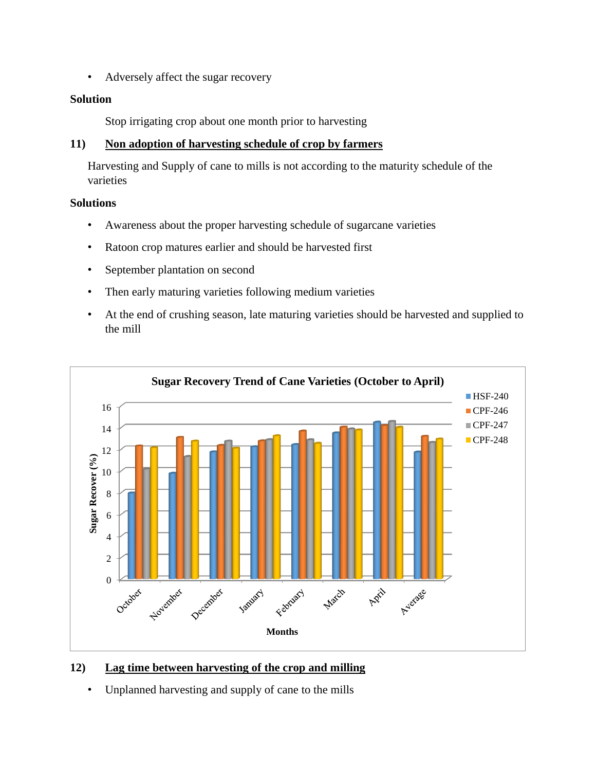• Adversely affect the sugar recovery

### **Solution**

Stop irrigating crop about one month prior to harvesting

## **11) Non adoption of harvesting schedule of crop by farmers**

Harvesting and Supply of cane to mills is not according to the maturity schedule of the varieties

## **Solutions**

- Awareness about the proper harvesting schedule of sugarcane varieties
- Ratoon crop matures earlier and should be harvested first
- September plantation on second
- Then early maturing varieties following medium varieties
- At the end of crushing season, late maturing varieties should be harvested and supplied to the mill



## **12) Lag time between harvesting of the crop and milling**

• Unplanned harvesting and supply of cane to the mills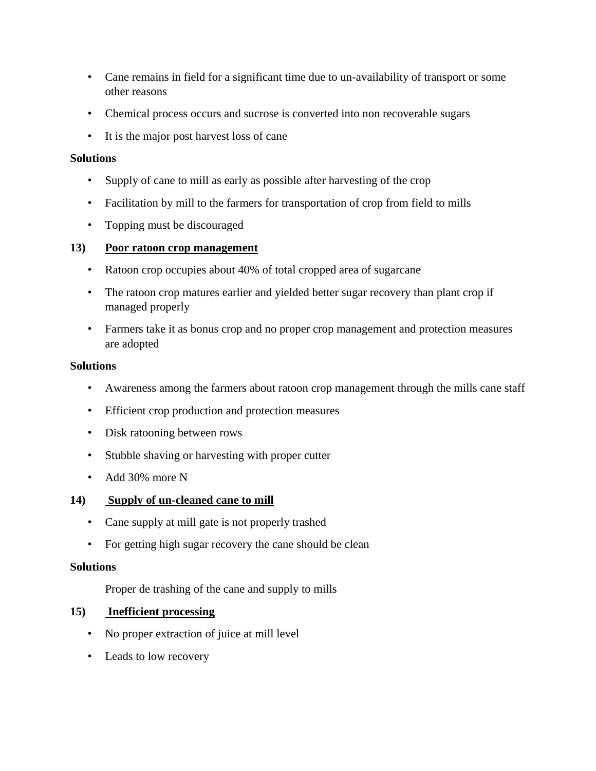- Cane remains in field for a significant time due to un-availability of transport or some other reasons
- Chemical process occurs and sucrose is converted into non recoverable sugars
- It is the major post harvest loss of cane

### **Solutions**

- Supply of cane to mill as early as possible after harvesting of the crop
- Facilitation by mill to the farmers for transportation of crop from field to mills
- Topping must be discouraged

## **13) Poor ratoon crop management**

- Ratoon crop occupies about 40% of total cropped area of sugarcane
- The ratoon crop matures earlier and yielded better sugar recovery than plant crop if managed properly
- Farmers take it as bonus crop and no proper crop management and protection measures are adopted

## **Solutions**

- Awareness among the farmers about ratoon crop management through the mills cane staff
- Efficient crop production and protection measures
- Disk ratooning between rows
- Stubble shaving or harvesting with proper cutter
- Add 30% more N

## **14) Supply of un-cleaned cane to mill**

- Cane supply at mill gate is not properly trashed
- For getting high sugar recovery the cane should be clean

#### **Solutions**

Proper de trashing of the cane and supply to mills

## **15) Inefficient processing**

- No proper extraction of juice at mill level
- Leads to low recovery